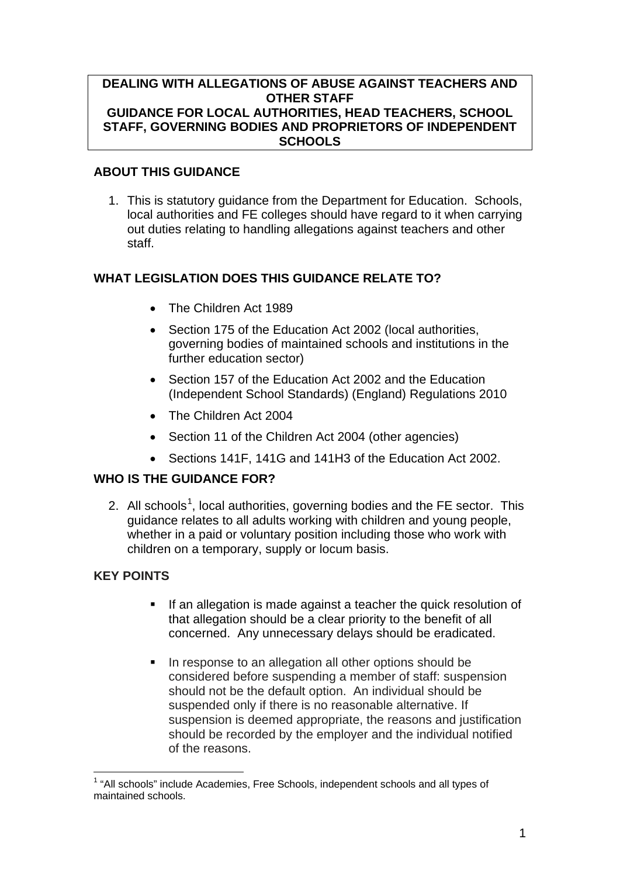#### **DEALING WITH ALLEGATIONS OF ABUSE AGAINST TEACHERS AND OTHER STAFF GUIDANCE FOR LOCAL AUTHORITIES, HEAD TEACHERS, SCHOOL STAFF, GOVERNING BODIES AND PROPRIETORS OF INDEPENDENT SCHOOLS**

# **ABOUT THIS GUIDANCE**

1. This is statutory guidance from the Department for Education. Schools, local authorities and FE colleges should have regard to it when carrying out duties relating to handling allegations against teachers and other staff.

# **WHAT LEGISLATION DOES THIS GUIDANCE RELATE TO?**

- The Children Act 1989
- Section 175 of the Education Act 2002 (local authorities, governing bodies of maintained schools and institutions in the further education sector)
- Section 157 of the Education Act 2002 and the Education (Independent School Standards) (England) Regulations 2010
- The Children Act 2004
- Section 11 of the Children Act 2004 (other agencies)
- Sections 141F, 141G and 141H3 of the Education Act 2002.

# **WHO IS THE GUIDANCE FOR?**

2. All schools<sup>[1](#page-0-0)</sup>, local authorities, governing bodies and the FE sector. This guidance relates to all adults working with children and young people, whether in a paid or voluntary position including those who work with children on a temporary, supply or locum basis.

# **KEY POINTS**

- If an allegation is made against a teacher the quick resolution of that allegation should be a clear priority to the benefit of all concerned. Any unnecessary delays should be eradicated.
- In response to an allegation all other options should be considered before suspending a member of staff: suspension should not be the default option. An individual should be suspended only if there is no reasonable alternative. If suspension is deemed appropriate, the reasons and justification should be recorded by the employer and the individual notified of the reasons.

<span id="page-0-0"></span><sup>&</sup>lt;sup>1</sup> "All schools" include Academies, Free Schools, independent schools and all types of maintained schools.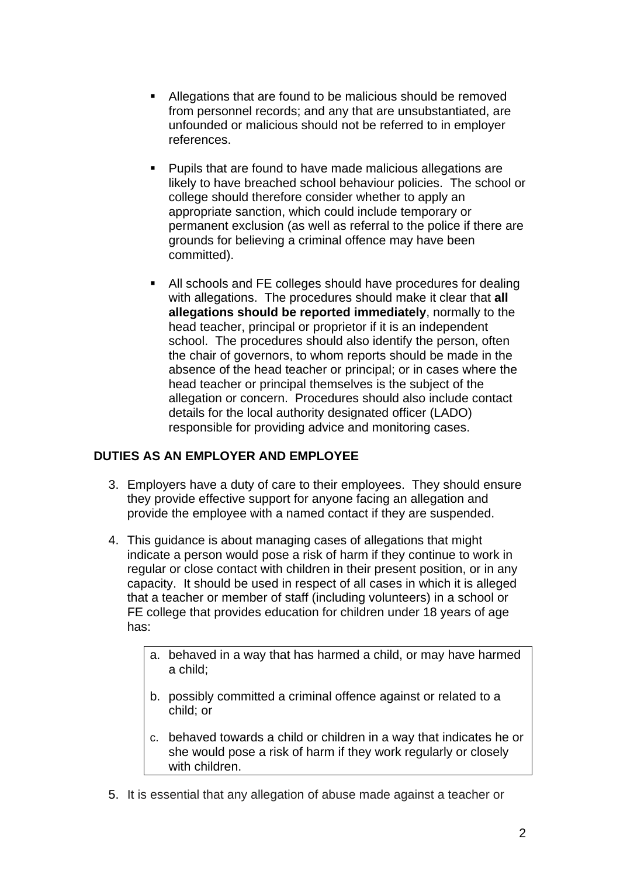- Allegations that are found to be malicious should be removed from personnel records; and any that are unsubstantiated, are unfounded or malicious should not be referred to in employer references.
- Pupils that are found to have made malicious allegations are likely to have breached school behaviour policies. The school or college should therefore consider whether to apply an appropriate sanction, which could include temporary or permanent exclusion (as well as referral to the police if there are grounds for believing a criminal offence may have been committed).
- All schools and FE colleges should have procedures for dealing with allegations. The procedures should make it clear that **all allegations should be reported immediately**, normally to the head teacher, principal or proprietor if it is an independent school. The procedures should also identify the person, often the chair of governors, to whom reports should be made in the absence of the head teacher or principal; or in cases where the head teacher or principal themselves is the subject of the allegation or concern. Procedures should also include contact details for the local authority designated officer (LADO) responsible for providing advice and monitoring cases.

# **DUTIES AS AN EMPLOYER AND EMPLOYEE**

- 3. Employers have a duty of care to their employees. They should ensure they provide effective support for anyone facing an allegation and provide the employee with a named contact if they are suspended.
- 4. This guidance is about managing cases of allegations that might indicate a person would pose a risk of harm if they continue to work in regular or close contact with children in their present position, or in any capacity. It should be used in respect of all cases in which it is alleged that a teacher or member of staff (including volunteers) in a school or FE college that provides education for children under 18 years of age has:
	- a. behaved in a way that has harmed a child, or may have harmed a child;
	- b. possibly committed a criminal offence against or related to a child; or
	- c. behaved towards a child or children in a way that indicates he or she would pose a risk of harm if they work regularly or closely with children.
- 5. It is essential that any allegation of abuse made against a teacher or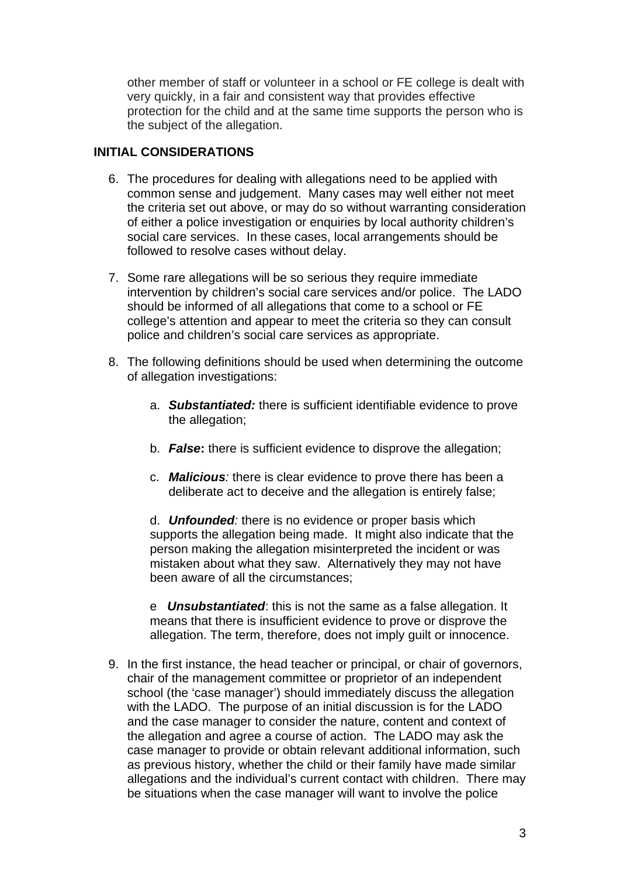other member of staff or volunteer in a school or FE college is dealt with very quickly, in a fair and consistent way that provides effective protection for the child and at the same time supports the person who is the subject of the allegation.

# **INITIAL CONSIDERATIONS**

- 6. The procedures for dealing with allegations need to be applied with common sense and judgement. Many cases may well either not meet the criteria set out above, or may do so without warranting consideration of either a police investigation or enquiries by local authority children's social care services. In these cases, local arrangements should be followed to resolve cases without delay.
- 7. Some rare allegations will be so serious they require immediate intervention by children's social care services and/or police. The LADO should be informed of all allegations that come to a school or FE college's attention and appear to meet the criteria so they can consult police and children's social care services as appropriate.
- 8. The following definitions should be used when determining the outcome of allegation investigations:
	- a. *Substantiated:* there is sufficient identifiable evidence to prove the allegation;
	- b. *False***:** there is sufficient evidence to disprove the allegation;
	- c. *Malicious:* there is clear evidence to prove there has been a deliberate act to deceive and the allegation is entirely false;

d. *Unfounded:* there is no evidence or proper basis which supports the allegation being made. It might also indicate that the person making the allegation misinterpreted the incident or was mistaken about what they saw. Alternatively they may not have been aware of all the circumstances;

e *Unsubstantiated*: this is not the same as a false allegation. It means that there is insufficient evidence to prove or disprove the allegation. The term, therefore, does not imply guilt or innocence.

9. In the first instance, the head teacher or principal, or chair of governors, chair of the management committee or proprietor of an independent school (the 'case manager') should immediately discuss the allegation with the LADO. The purpose of an initial discussion is for the LADO and the case manager to consider the nature, content and context of the allegation and agree a course of action. The LADO may ask the case manager to provide or obtain relevant additional information, such as previous history, whether the child or their family have made similar allegations and the individual's current contact with children.There may be situations when the case manager will want to involve the police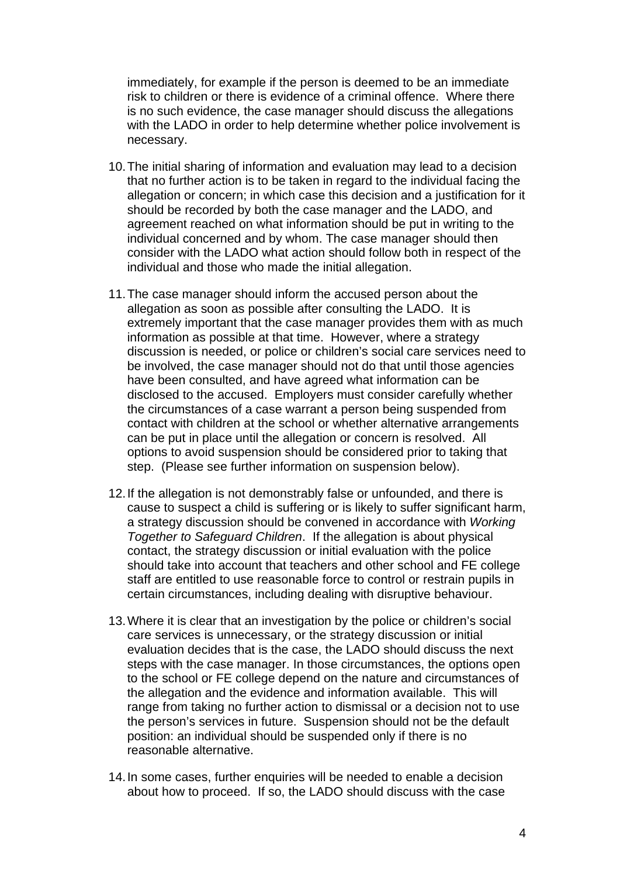immediately, for example if the person is deemed to be an immediate risk to children or there is evidence of a criminal offence. Where there is no such evidence, the case manager should discuss the allegations with the LADO in order to help determine whether police involvement is necessary.

- 10.The initial sharing of information and evaluation may lead to a decision that no further action is to be taken in regard to the individual facing the allegation or concern; in which case this decision and a justification for it should be recorded by both the case manager and the LADO, and agreement reached on what information should be put in writing to the individual concerned and by whom. The case manager should then consider with the LADO what action should follow both in respect of the individual and those who made the initial allegation.
- 11.The case manager should inform the accused person about the allegation as soon as possible after consulting the LADO. It is extremely important that the case manager provides them with as much information as possible at that time. However, where a strategy discussion is needed, or police or children's social care services need to be involved, the case manager should not do that until those agencies have been consulted, and have agreed what information can be disclosed to the accused. Employers must consider carefully whether the circumstances of a case warrant a person being suspended from contact with children at the school or whether alternative arrangements can be put in place until the allegation or concern is resolved. All options to avoid suspension should be considered prior to taking that step. (Please see further information on suspension below).
- 12.If the allegation is not demonstrably false or unfounded, and there is cause to suspect a child is suffering or is likely to suffer significant harm, a strategy discussion should be convened in accordance with *Working Together to Safeguard Children*. If the allegation is about physical contact, the strategy discussion or initial evaluation with the police should take into account that teachers and other school and FE college staff are entitled to use reasonable force to control or restrain pupils in certain circumstances, including dealing with disruptive behaviour.
- 13.Where it is clear that an investigation by the police or children's social care services is unnecessary, or the strategy discussion or initial evaluation decides that is the case, the LADO should discuss the next steps with the case manager. In those circumstances, the options open to the school or FE college depend on the nature and circumstances of the allegation and the evidence and information available. This will range from taking no further action to dismissal or a decision not to use the person's services in future. Suspension should not be the default position: an individual should be suspended only if there is no reasonable alternative.
- 14.In some cases, further enquiries will be needed to enable a decision about how to proceed. If so, the LADO should discuss with the case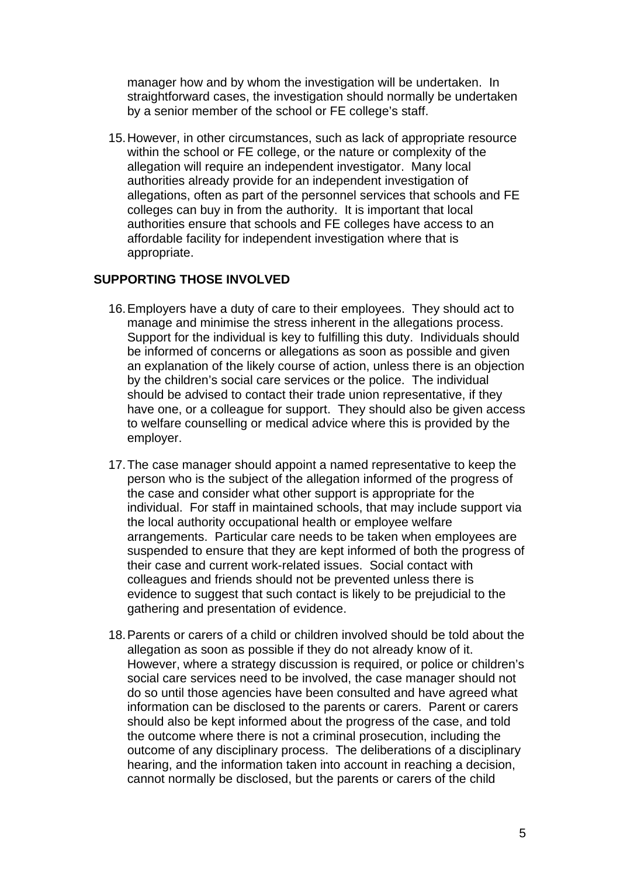manager how and by whom the investigation will be undertaken. In straightforward cases, the investigation should normally be undertaken by a senior member of the school or FE college's staff.

15.However, in other circumstances, such as lack of appropriate resource within the school or FE college, or the nature or complexity of the allegation will require an independent investigator. Many local authorities already provide for an independent investigation of allegations, often as part of the personnel services that schools and FE colleges can buy in from the authority. It is important that local authorities ensure that schools and FE colleges have access to an affordable facility for independent investigation where that is appropriate.

#### **SUPPORTING THOSE INVOLVED**

- 16.Employers have a duty of care to their employees. They should act to manage and minimise the stress inherent in the allegations process. Support for the individual is key to fulfilling this duty. Individuals should be informed of concerns or allegations as soon as possible and given an explanation of the likely course of action, unless there is an objection by the children's social care services or the police. The individual should be advised to contact their trade union representative, if they have one, or a colleague for support. They should also be given access to welfare counselling or medical advice where this is provided by the employer.
- 17.The case manager should appoint a named representative to keep the person who is the subject of the allegation informed of the progress of the case and consider what other support is appropriate for the individual. For staff in maintained schools, that may include support via the local authority occupational health or employee welfare arrangements. Particular care needs to be taken when employees are suspended to ensure that they are kept informed of both the progress of their case and current work-related issues. Social contact with colleagues and friends should not be prevented unless there is evidence to suggest that such contact is likely to be prejudicial to the gathering and presentation of evidence.
- 18.Parents or carers of a child or children involved should be told about the allegation as soon as possible if they do not already know of it. However, where a strategy discussion is required, or police or children's social care services need to be involved, the case manager should not do so until those agencies have been consulted and have agreed what information can be disclosed to the parents or carers. Parent or carers should also be kept informed about the progress of the case, and told the outcome where there is not a criminal prosecution, including the outcome of any disciplinary process. The deliberations of a disciplinary hearing, and the information taken into account in reaching a decision, cannot normally be disclosed, but the parents or carers of the child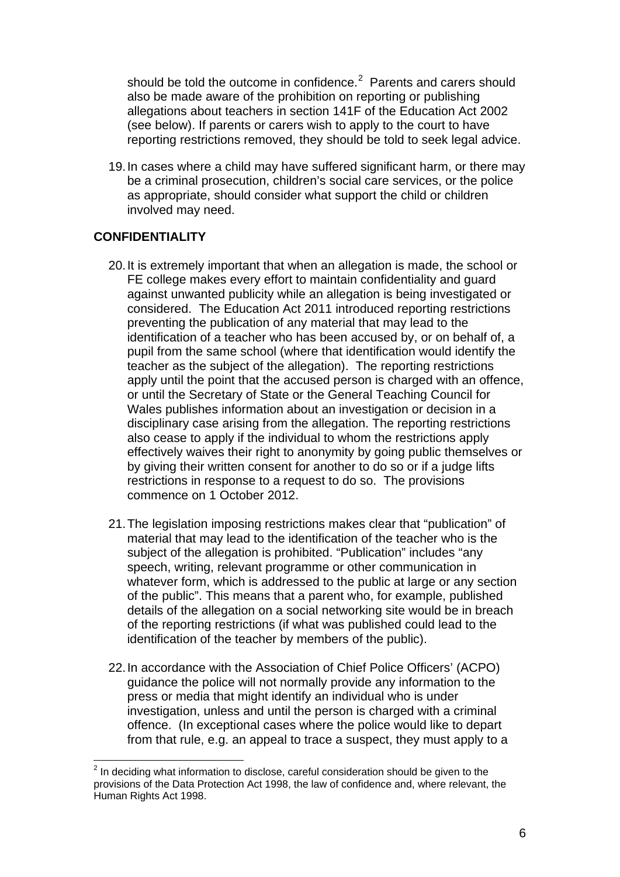should be told the outcome in confidence.<sup>[2](#page-5-0)</sup> Parents and carers should also be made aware of the prohibition on reporting or publishing allegations about teachers in section 141F of the Education Act 2002 (see below). If parents or carers wish to apply to the court to have reporting restrictions removed, they should be told to seek legal advice.

19.In cases where a child may have suffered significant harm, or there may be a criminal prosecution, children's social care services, or the police as appropriate, should consider what support the child or children involved may need.

# **CONFIDENTIALITY**

- 20.It is extremely important that when an allegation is made, the school or FE college makes every effort to maintain confidentiality and guard against unwanted publicity while an allegation is being investigated or considered. The Education Act 2011 introduced reporting restrictions preventing the publication of any material that may lead to the identification of a teacher who has been accused by, or on behalf of, a pupil from the same school (where that identification would identify the teacher as the subject of the allegation). The reporting restrictions apply until the point that the accused person is charged with an offence, or until the Secretary of State or the General Teaching Council for Wales publishes information about an investigation or decision in a disciplinary case arising from the allegation. The reporting restrictions also cease to apply if the individual to whom the restrictions apply effectively waives their right to anonymity by going public themselves or by giving their written consent for another to do so or if a judge lifts restrictions in response to a request to do so. The provisions commence on 1 October 2012.
- 21.The legislation imposing restrictions makes clear that "publication" of material that may lead to the identification of the teacher who is the subject of the allegation is prohibited. "Publication" includes "any speech, writing, relevant programme or other communication in whatever form, which is addressed to the public at large or any section of the public". This means that a parent who, for example, published details of the allegation on a social networking site would be in breach of the reporting restrictions (if what was published could lead to the identification of the teacher by members of the public).
- 22.In accordance with the Association of Chief Police Officers' (ACPO) guidance the police will not normally provide any information to the press or media that might identify an individual who is under investigation, unless and until the person is charged with a criminal offence. (In exceptional cases where the police would like to depart from that rule, e.g. an appeal to trace a suspect, they must apply to a

<span id="page-5-0"></span> $2$  In deciding what information to disclose, careful consideration should be given to the provisions of the Data Protection Act 1998, the law of confidence and, where relevant, the Human Rights Act 1998.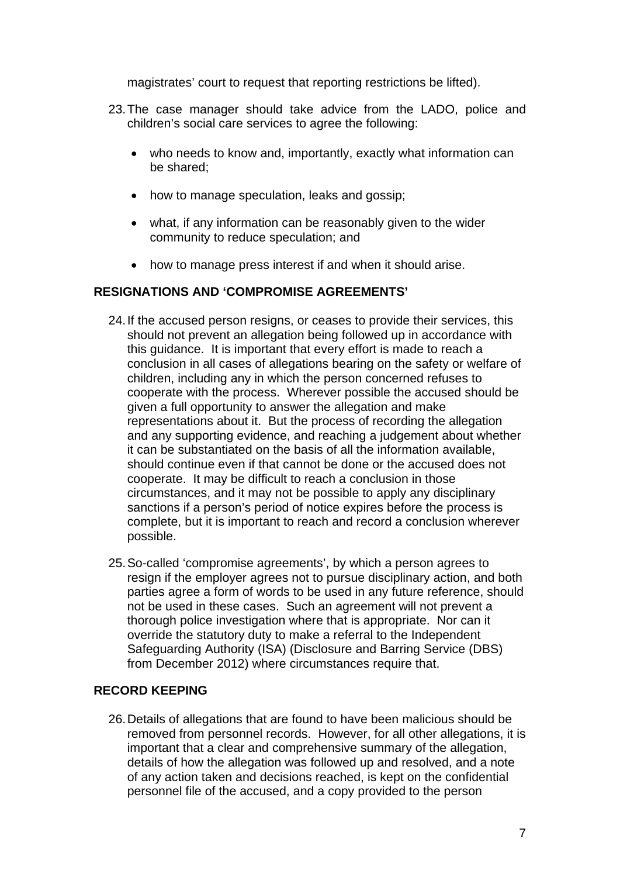magistrates' court to request that reporting restrictions be lifted).

- 23.The case manager should take advice from the LADO, police and children's social care services to agree the following:
	- who needs to know and, importantly, exactly what information can be shared;
	- how to manage speculation, leaks and gossip;
	- what, if any information can be reasonably given to the wider community to reduce speculation; and
	- how to manage press interest if and when it should arise.

#### **RESIGNATIONS AND 'COMPROMISE AGREEMENTS'**

- 24.If the accused person resigns, or ceases to provide their services, this should not prevent an allegation being followed up in accordance with this guidance. It is important that every effort is made to reach a conclusion in all cases of allegations bearing on the safety or welfare of children, including any in which the person concerned refuses to cooperate with the process. Wherever possible the accused should be given a full opportunity to answer the allegation and make representations about it. But the process of recording the allegation and any supporting evidence, and reaching a judgement about whether it can be substantiated on the basis of all the information available, should continue even if that cannot be done or the accused does not cooperate. It may be difficult to reach a conclusion in those circumstances, and it may not be possible to apply any disciplinary sanctions if a person's period of notice expires before the process is complete, but it is important to reach and record a conclusion wherever possible.
- 25.So-called 'compromise agreements', by which a person agrees to resign if the employer agrees not to pursue disciplinary action, and both parties agree a form of words to be used in any future reference, should not be used in these cases.Such an agreement will not prevent a thorough police investigation where that is appropriate. Nor can it override the statutory duty to make a referral to the Independent Safeguarding Authority (ISA) (Disclosure and Barring Service (DBS) from December 2012) where circumstances require that.

# **RECORD KEEPING**

26.Details of allegations that are found to have been malicious should be removed from personnel records. However, for all other allegations, it is important that a clear and comprehensive summary of the allegation, details of how the allegation was followed up and resolved, and a note of any action taken and decisions reached, is kept on the confidential personnel file of the accused, and a copy provided to the person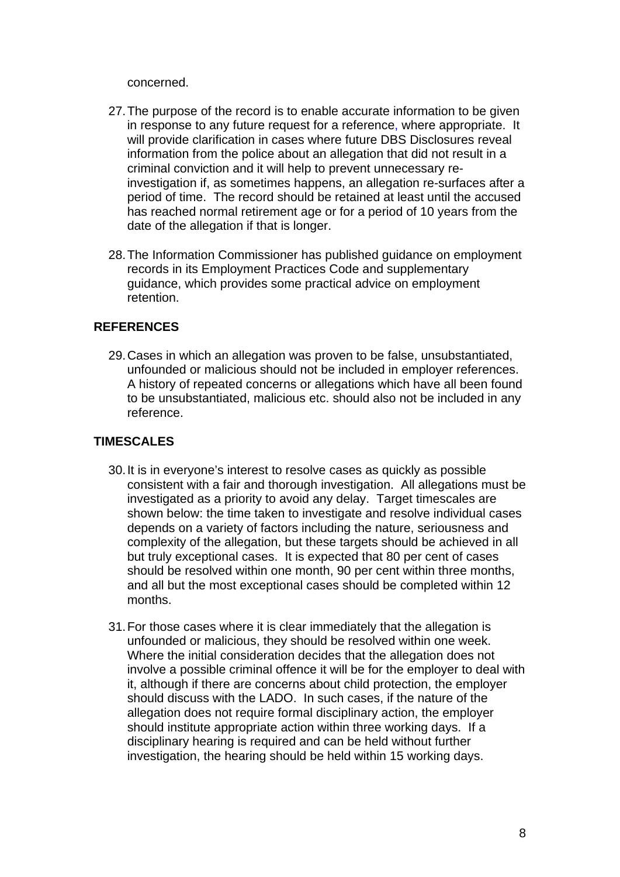concerned.

- 27.The purpose of the record is to enable accurate information to be given in response to any future request for a reference, where appropriate. It will provide clarification in cases where future DBS Disclosures reveal information from the police about an allegation that did not result in a criminal conviction and it will help to prevent unnecessary reinvestigation if, as sometimes happens, an allegation re-surfaces after a period of time. The record should be retained at least until the accused has reached normal retirement age or for a period of 10 years from the date of the allegation if that is longer.
- 28.The Information Commissioner has published guidance on employment records in its Employment Practices Code and supplementary guidance, which provides some practical advice on employment retention.

## **REFERENCES**

29.Cases in which an allegation was proven to be false, unsubstantiated, unfounded or malicious should not be included in employer references. A history of repeated concerns or allegations which have all been found to be unsubstantiated, malicious etc. should also not be included in any reference.

#### **TIMESCALES**

- 30.It is in everyone's interest to resolve cases as quickly as possible consistent with a fair and thorough investigation. All allegations must be investigated as a priority to avoid any delay. Target timescales are shown below: the time taken to investigate and resolve individual cases depends on a variety of factors including the nature, seriousness and complexity of the allegation, but these targets should be achieved in all but truly exceptional cases. It is expected that 80 per cent of cases should be resolved within one month, 90 per cent within three months, and all but the most exceptional cases should be completed within 12 months.
- 31.For those cases where it is clear immediately that the allegation is unfounded or malicious, they should be resolved within one week. Where the initial consideration decides that the allegation does not involve a possible criminal offence it will be for the employer to deal with it, although if there are concerns about child protection, the employer should discuss with the LADO. In such cases, if the nature of the allegation does not require formal disciplinary action, the employer should institute appropriate action within three working days. If a disciplinary hearing is required and can be held without further investigation, the hearing should be held within 15 working days.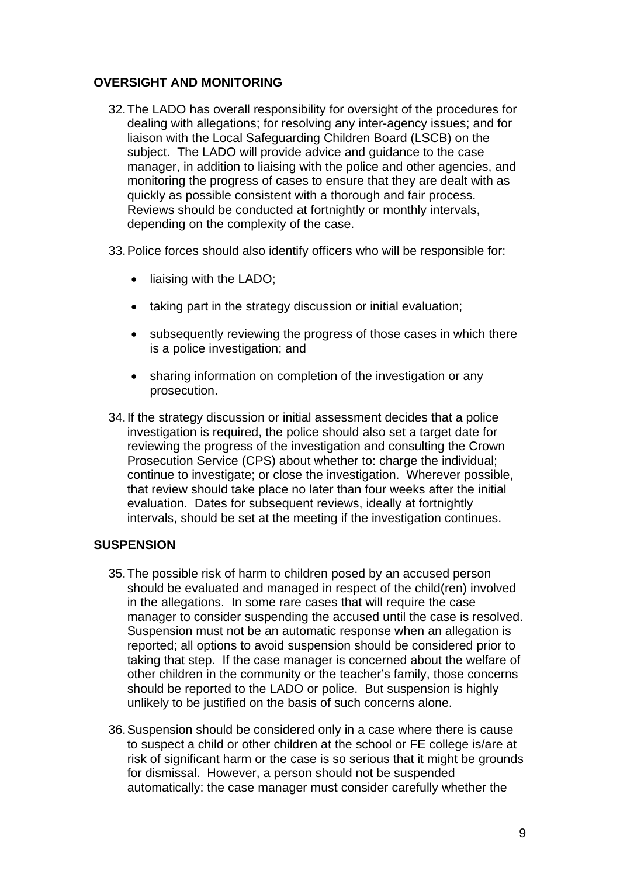## **OVERSIGHT AND MONITORING**

- 32.The LADO has overall responsibility for oversight of the procedures for dealing with allegations; for resolving any inter-agency issues; and for liaison with the Local Safeguarding Children Board (LSCB) on the subject. The LADO will provide advice and guidance to the case manager, in addition to liaising with the police and other agencies, and monitoring the progress of cases to ensure that they are dealt with as quickly as possible consistent with a thorough and fair process. Reviews should be conducted at fortnightly or monthly intervals, depending on the complexity of the case.
- 33.Police forces should also identify officers who will be responsible for:
	- liaising with the LADO;
	- taking part in the strategy discussion or initial evaluation;
	- subsequently reviewing the progress of those cases in which there is a police investigation; and
	- sharing information on completion of the investigation or any prosecution.
- 34.If the strategy discussion or initial assessment decides that a police investigation is required, the police should also set a target date for reviewing the progress of the investigation and consulting the Crown Prosecution Service (CPS) about whether to: charge the individual; continue to investigate; or close the investigation. Wherever possible, that review should take place no later than four weeks after the initial evaluation. Dates for subsequent reviews, ideally at fortnightly intervals, should be set at the meeting if the investigation continues.

# **SUSPENSION**

- 35.The possible risk of harm to children posed by an accused person should be evaluated and managed in respect of the child(ren) involved in the allegations. In some rare cases that will require the case manager to consider suspending the accused until the case is resolved. Suspension must not be an automatic response when an allegation is reported; all options to avoid suspension should be considered prior to taking that step. If the case manager is concerned about the welfare of other children in the community or the teacher's family, those concerns should be reported to the LADO or police. But suspension is highly unlikely to be justified on the basis of such concerns alone.
- 36.Suspension should be considered only in a case where there is cause to suspect a child or other children at the school or FE college is/are at risk of significant harm or the case is so serious that it might be grounds for dismissal. However, a person should not be suspended automatically: the case manager must consider carefully whether the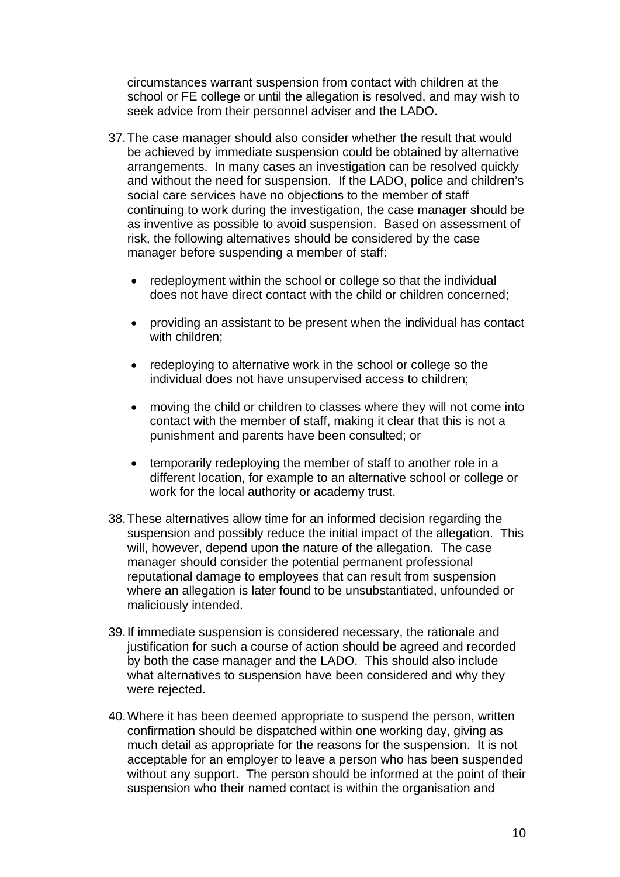circumstances warrant suspension from contact with children at the school or FE college or until the allegation is resolved, and may wish to seek advice from their personnel adviser and the LADO.

- 37.The case manager should also consider whether the result that would be achieved by immediate suspension could be obtained by alternative arrangements. In many cases an investigation can be resolved quickly and without the need for suspension. If the LADO, police and children's social care services have no objections to the member of staff continuing to work during the investigation, the case manager should be as inventive as possible to avoid suspension. Based on assessment of risk, the following alternatives should be considered by the case manager before suspending a member of staff:
	- redeployment within the school or college so that the individual does not have direct contact with the child or children concerned;
	- providing an assistant to be present when the individual has contact with children;
	- redeploying to alternative work in the school or college so the individual does not have unsupervised access to children;
	- moving the child or children to classes where they will not come into contact with the member of staff, making it clear that this is not a punishment and parents have been consulted; or
	- temporarily redeploying the member of staff to another role in a different location, for example to an alternative school or college or work for the local authority or academy trust.
- 38.These alternatives allow time for an informed decision regarding the suspension and possibly reduce the initial impact of the allegation. This will, however, depend upon the nature of the allegation. The case manager should consider the potential permanent professional reputational damage to employees that can result from suspension where an allegation is later found to be unsubstantiated, unfounded or maliciously intended.
- 39.If immediate suspension is considered necessary, the rationale and justification for such a course of action should be agreed and recorded by both the case manager and the LADO. This should also include what alternatives to suspension have been considered and why they were rejected.
- 40.Where it has been deemed appropriate to suspend the person, written confirmation should be dispatched within one working day, giving as much detail as appropriate for the reasons for the suspension. It is not acceptable for an employer to leave a person who has been suspended without any support. The person should be informed at the point of their suspension who their named contact is within the organisation and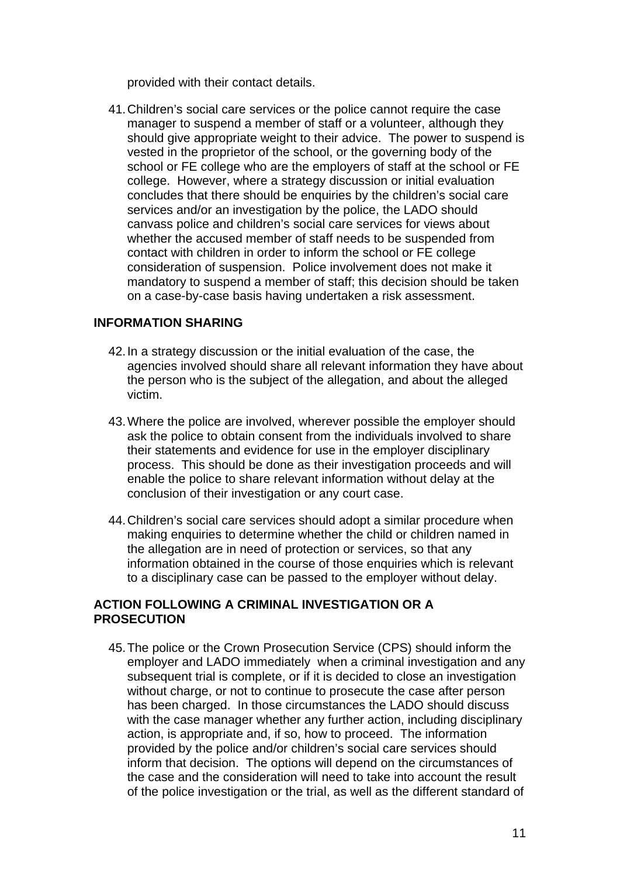provided with their contact details.

41.Children's social care services or the police cannot require the case manager to suspend a member of staff or a volunteer, although they should give appropriate weight to their advice. The power to suspend is vested in the proprietor of the school, or the governing body of the school or FE college who are the employers of staff at the school or FE college. However, where a strategy discussion or initial evaluation concludes that there should be enquiries by the children's social care services and/or an investigation by the police, the LADO should canvass police and children's social care services for views about whether the accused member of staff needs to be suspended from contact with children in order to inform the school or FE college consideration of suspension. Police involvement does not make it mandatory to suspend a member of staff; this decision should be taken on a case-by-case basis having undertaken a risk assessment.

# **INFORMATION SHARING**

- 42.In a strategy discussion or the initial evaluation of the case, the agencies involved should share all relevant information they have about the person who is the subject of the allegation, and about the alleged victim.
- 43.Where the police are involved, wherever possible the employer should ask the police to obtain consent from the individuals involved to share their statements and evidence for use in the employer disciplinary process. This should be done as their investigation proceeds and will enable the police to share relevant information without delay at the conclusion of their investigation or any court case.
- 44.Children's social care services should adopt a similar procedure when making enquiries to determine whether the child or children named in the allegation are in need of protection or services, so that any information obtained in the course of those enquiries which is relevant to a disciplinary case can be passed to the employer without delay.

## **ACTION FOLLOWING A CRIMINAL INVESTIGATION OR A PROSECUTION**

45.The police or the Crown Prosecution Service (CPS) should inform the employer and LADO immediately when a criminal investigation and any subsequent trial is complete, or if it is decided to close an investigation without charge, or not to continue to prosecute the case after person has been charged. In those circumstances the LADO should discuss with the case manager whether any further action, including disciplinary action, is appropriate and, if so, how to proceed. The information provided by the police and/or children's social care services should inform that decision. The options will depend on the circumstances of the case and the consideration will need to take into account the result of the police investigation or the trial, as well as the different standard of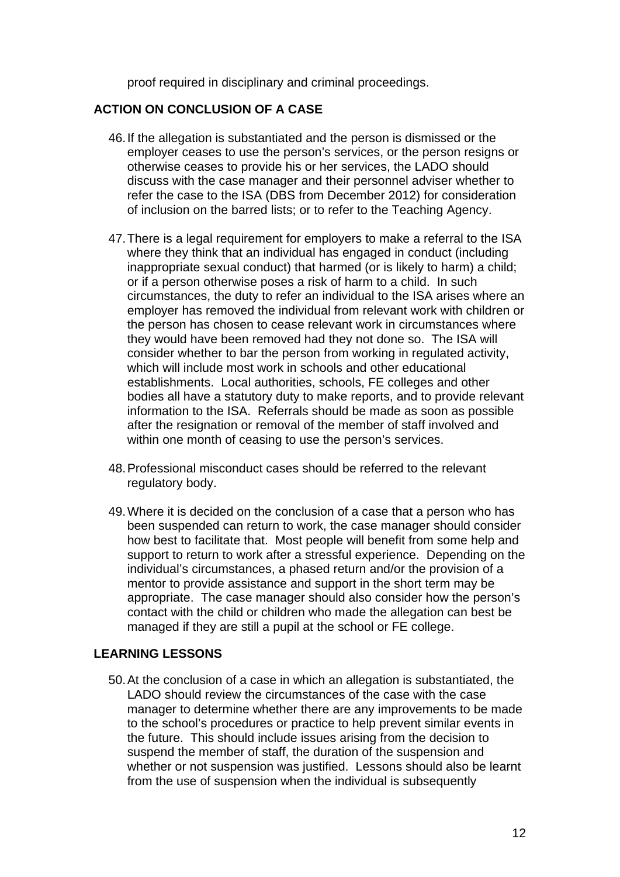proof required in disciplinary and criminal proceedings.

## **ACTION ON CONCLUSION OF A CASE**

- 46.If the allegation is substantiated and the person is dismissed or the employer ceases to use the person's services, or the person resigns or otherwise ceases to provide his or her services, the LADO should discuss with the case manager and their personnel adviser whether to refer the case to the ISA (DBS from December 2012) for consideration of inclusion on the barred lists; or to refer to the Teaching Agency.
- 47.There is a legal requirement for employers to make a referral to the ISA where they think that an individual has engaged in conduct (including inappropriate sexual conduct) that harmed (or is likely to harm) a child; or if a person otherwise poses a risk of harm to a child. In such circumstances, the duty to refer an individual to the ISA arises where an employer has removed the individual from relevant work with children or the person has chosen to cease relevant work in circumstances where they would have been removed had they not done so. The ISA will consider whether to bar the person from working in regulated activity, which will include most work in schools and other educational establishments. Local authorities, schools, FE colleges and other bodies all have a statutory duty to make reports, and to provide relevant information to the ISA. Referrals should be made as soon as possible after the resignation or removal of the member of staff involved and within one month of ceasing to use the person's services.
- 48.Professional misconduct cases should be referred to the relevant regulatory body.
- 49.Where it is decided on the conclusion of a case that a person who has been suspended can return to work, the case manager should consider how best to facilitate that. Most people will benefit from some help and support to return to work after a stressful experience. Depending on the individual's circumstances, a phased return and/or the provision of a mentor to provide assistance and support in the short term may be appropriate. The case manager should also consider how the person's contact with the child or children who made the allegation can best be managed if they are still a pupil at the school or FE college.

# **LEARNING LESSONS**

50.At the conclusion of a case in which an allegation is substantiated, the LADO should review the circumstances of the case with the case manager to determine whether there are any improvements to be made to the school's procedures or practice to help prevent similar events in the future. This should include issues arising from the decision to suspend the member of staff, the duration of the suspension and whether or not suspension was justified. Lessons should also be learnt from the use of suspension when the individual is subsequently